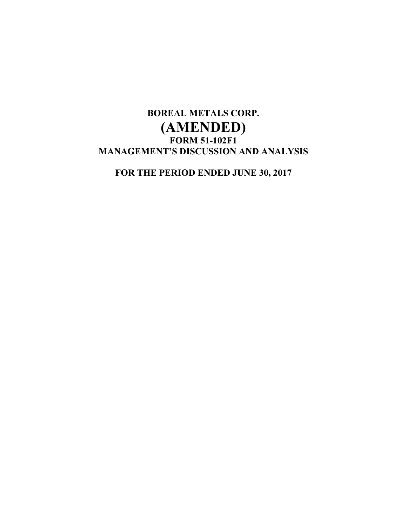# BOREAL METALS CORP. (AMENDED) FORM 51-102F1 MANAGEMENT'S DISCUSSION AND ANALYSIS

FOR THE PERIOD ENDED JUNE 30, 2017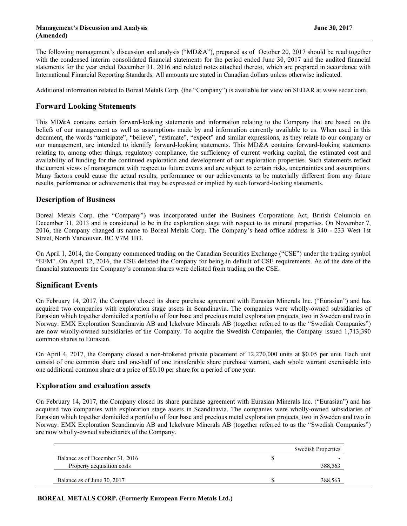The following management's discussion and analysis ("MD&A"), prepared as of October 20, 2017 should be read together with the condensed interim consolidated financial statements for the period ended June 30, 2017 and the audited financial statements for the year ended December 31, 2016 and related notes attached thereto, which are prepared in accordance with International Financial Reporting Standards. All amounts are stated in Canadian dollars unless otherwise indicated.

Additional information related to Boreal Metals Corp. (the "Company") is available for view on SEDAR at www.sedar.com.

# Forward Looking Statements

This MD&A contains certain forward-looking statements and information relating to the Company that are based on the beliefs of our management as well as assumptions made by and information currently available to us. When used in this document, the words "anticipate", "believe", "estimate", "expect" and similar expressions, as they relate to our company or our management, are intended to identify forward-looking statements. This MD&A contains forward-looking statements relating to, among other things, regulatory compliance, the sufficiency of current working capital, the estimated cost and availability of funding for the continued exploration and development of our exploration properties. Such statements reflect the current views of management with respect to future events and are subject to certain risks, uncertainties and assumptions. Many factors could cause the actual results, performance or our achievements to be materially different from any future results, performance or achievements that may be expressed or implied by such forward-looking statements.

# Description of Business

Boreal Metals Corp. (the "Company") was incorporated under the Business Corporations Act, British Columbia on December 31, 2013 and is considered to be in the exploration stage with respect to its mineral properties. On November 7, 2016, the Company changed its name to Boreal Metals Corp. The Company's head office address is 340 - 233 West 1st Street, North Vancouver, BC V7M 1B3.

On April 1, 2014, the Company commenced trading on the Canadian Securities Exchange ("CSE") under the trading symbol "EFM". On April 12, 2016, the CSE delisted the Company for being in default of CSE requirements. As of the date of the financial statements the Company's common shares were delisted from trading on the CSE.

# Significant Events

On February 14, 2017, the Company closed its share purchase agreement with Eurasian Minerals Inc. ("Eurasian") and has acquired two companies with exploration stage assets in Scandinavia. The companies were wholly-owned subsidiaries of Eurasian which together domiciled a portfolio of four base and precious metal exploration projects, two in Sweden and two in Norway. EMX Exploration Scandinavia AB and Iekelvare Minerals AB (together referred to as the "Swedish Companies") are now wholly-owned subsidiaries of the Company. To acquire the Swedish Companies, the Company issued 1,713,390 common shares to Eurasian.

On April 4, 2017, the Company closed a non-brokered private placement of 12,270,000 units at \$0.05 per unit. Each unit consist of one common share and one-half of one transferable share purchase warrant, each whole warrant exercisable into one additional common share at a price of \$0.10 per share for a period of one year.

# Exploration and evaluation assets

On February 14, 2017, the Company closed its share purchase agreement with Eurasian Minerals Inc. ("Eurasian") and has acquired two companies with exploration stage assets in Scandinavia. The companies were wholly-owned subsidiaries of Eurasian which together domiciled a portfolio of four base and precious metal exploration projects, two in Sweden and two in Norway. EMX Exploration Scandinavia AB and Iekelvare Minerals AB (together referred to as the "Swedish Companies") are now wholly-owned subsidiaries of the Company.

|                                 | <b>Swedish Properties</b> |         |  |  |
|---------------------------------|---------------------------|---------|--|--|
| Balance as of December 31, 2016 |                           | -       |  |  |
| Property acquisition costs      |                           | 388,563 |  |  |
| Balance as of June 30, 2017     |                           | 388,563 |  |  |

BOREAL METALS CORP. (Formerly European Ferro Metals Ltd.)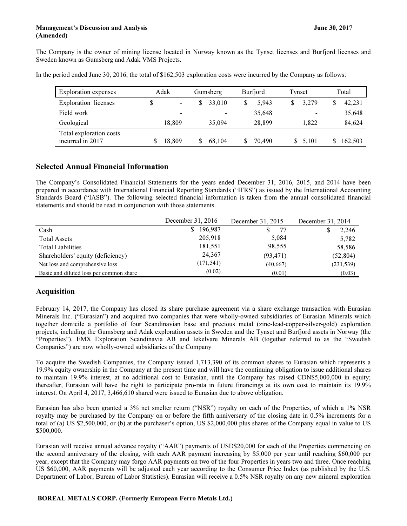The Company is the owner of mining license located in Norway known as the Tynset licenses and Burfjord licenses and Sweden known as Gumsberg and Adak VMS Projects.

| <b>Exploration</b> expenses                 | Adak |                | Gumsberg | Burfjord | Tynset | Total   |
|---------------------------------------------|------|----------------|----------|----------|--------|---------|
| <b>Exploration</b> licenses                 | \$   | $\blacksquare$ | 33,010   | 5.943    | 3.279  | 42,231  |
| Field work                                  |      | -              |          | 35,648   |        | 35,648  |
| Geological                                  |      | 18.809         | 35,094   | 28.899   | 1.822  | 84,624  |
| Total exploration costs<br>incurred in 2017 |      | 18,809         | 68.104   | 70.490   | 5.101  | 162,503 |

In the period ended June 30, 2016, the total of \$162,503 exploration costs were incurred by the Company as follows:

# Selected Annual Financial Information

The Company's Consolidated Financial Statements for the years ended December 31, 2016, 2015, and 2014 have been prepared in accordance with International Financial Reporting Standards ("IFRS") as issued by the International Accounting Standards Board ("IASB"). The following selected financial information is taken from the annual consolidated financial statements and should be read in conjunction with those statements.

|                                         | December 31, 2016 | December 31, 2015 | December 31, 2014 |  |
|-----------------------------------------|-------------------|-------------------|-------------------|--|
| Cash                                    | 196.987           | 77                | 2,246             |  |
| <b>Total Assets</b>                     | 205,918           | 5,084             | 5,782             |  |
| <b>Total Liabilities</b>                | 181,551           | 98,555            | 58,586            |  |
| Shareholders' equity (deficiency)       | 24,367            | (93, 471)         | (52, 804)         |  |
| Net loss and comprehensive loss         | (171, 541)        | (40,667)          | (231, 539)        |  |
| Basic and diluted loss per common share | (0.02)            | (0.01)            | (0.03)            |  |

# Acquisition

February 14, 2017, the Company has closed its share purchase agreement via a share exchange transaction with Eurasian Minerals Inc. ("Eurasian") and acquired two companies that were wholly-owned subsidiaries of Eurasian Minerals which together domicile a portfolio of four Scandinavian base and precious metal (zinc-lead-copper-silver-gold) exploration projects, including the Gumsberg and Adak exploration assets in Sweden and the Tynset and Burfjord assets in Norway (the "Properties"). EMX Exploration Scandinavia AB and Iekelvare Minerals AB (together referred to as the "Swedish Companies") are now wholly-owned subsidiaries of the Company

To acquire the Swedish Companies, the Company issued 1,713,390 of its common shares to Eurasian which represents a 19.9% equity ownership in the Company at the present time and will have the continuing obligation to issue additional shares to maintain 19.9% interest, at no additional cost to Eurasian, until the Company has raised CDN\$5,000,000 in equity; thereafter, Eurasian will have the right to participate pro-rata in future financings at its own cost to maintain its 19.9% interest. On April 4, 2017, 3,466,610 shared were issued to Eurasian due to above obligation.

Eurasian has also been granted a 3% net smelter return ("NSR") royalty on each of the Properties, of which a 1% NSR royalty may be purchased by the Company on or before the fifth anniversary of the closing date in 0.5% increments for a total of (a) US \$2,500,000, or (b) at the purchaser's option, US \$2,000,000 plus shares of the Company equal in value to US \$500,000.

Eurasian will receive annual advance royalty ("AAR") payments of USD\$20,000 for each of the Properties commencing on the second anniversary of the closing, with each AAR payment increasing by \$5,000 per year until reaching \$60,000 per year, except that the Company may forgo AAR payments on two of the four Properties in years two and three. Once reaching US \$60,000, AAR payments will be adjusted each year according to the Consumer Price Index (as published by the U.S. Department of Labor, Bureau of Labor Statistics). Eurasian will receive a 0.5% NSR royalty on any new mineral exploration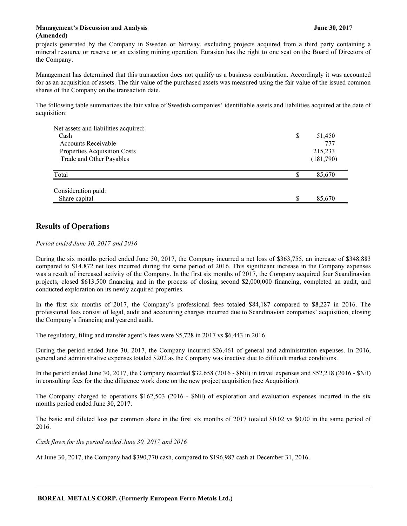projects generated by the Company in Sweden or Norway, excluding projects acquired from a third party containing a mineral resource or reserve or an existing mining operation. Eurasian has the right to one seat on the Board of Directors of the Company.

Management has determined that this transaction does not qualify as a business combination. Accordingly it was accounted for as an acquisition of assets. The fair value of the purchased assets was measured using the fair value of the issued common shares of the Company on the transaction date.

The following table summarizes the fair value of Swedish companies' identifiable assets and liabilities acquired at the date of acquisition:

| Net assets and liabilities acquired: |              |
|--------------------------------------|--------------|
| Cash                                 | \$<br>51,450 |
| <b>Accounts Receivable</b>           | 777          |
| Properties Acquisition Costs         | 215,233      |
| Trade and Other Payables             | (181,790)    |
| Total                                | \$<br>85,670 |
| Consideration paid:                  |              |
| Share capital                        | \$<br>85,670 |

# Results of Operations

Period ended June 30, 2017 and 2016

During the six months period ended June 30, 2017, the Company incurred a net loss of \$363,755, an increase of \$348,883 compared to \$14,872 net loss incurred during the same period of 2016. This significant increase in the Company expenses was a result of increased activity of the Company. In the first six months of 2017, the Company acquired four Scandinavian projects, closed \$613,500 financing and in the process of closing second \$2,000,000 financing, completed an audit, and conducted exploration on its newly acquired properties.

In the first six months of 2017, the Company's professional fees totaled \$84,187 compared to \$8,227 in 2016. The professional fees consist of legal, audit and accounting charges incurred due to Scandinavian companies' acquisition, closing the Company's financing and yearend audit.

The regulatory, filing and transfer agent's fees were \$5,728 in 2017 vs \$6,443 in 2016.

During the period ended June 30, 2017, the Company incurred \$26,461 of general and administration expenses. In 2016, general and administrative expenses totaled \$202 as the Company was inactive due to difficult market conditions.

In the period ended June 30, 2017, the Company recorded \$32,658 (2016 - \$Nil) in travel expenses and \$52,218 (2016 - \$Nil) in consulting fees for the due diligence work done on the new project acquisition (see Acquisition).

The Company charged to operations \$162,503 (2016 - \$Nil) of exploration and evaluation expenses incurred in the six months period ended June 30, 2017.

The basic and diluted loss per common share in the first six months of 2017 totaled \$0.02 vs \$0.00 in the same period of 2016.

Cash flows for the period ended June 30, 2017 and 2016

At June 30, 2017, the Company had \$390,770 cash, compared to \$196,987 cash at December 31, 2016.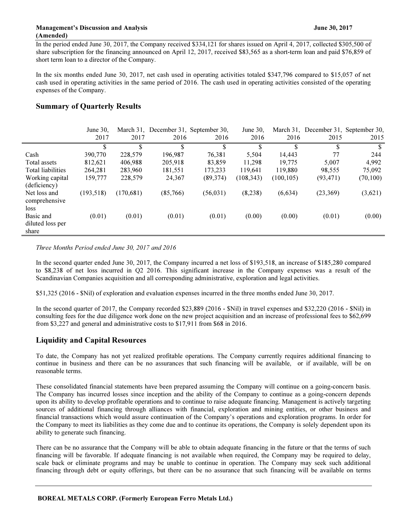In the period ended June 30, 2017, the Company received \$334,121 for shares issued on April 4, 2017, collected \$305,500 of share subscription for the financing announced on April 12, 2017, received \$83,565 as a short-term loan and paid \$76,859 of short term loan to a director of the Company.

In the six months ended June 30, 2017, net cash used in operating activities totaled \$347,796 compared to \$15,057 of net cash used in operating activities in the same period of 2016. The cash used in operating activities consisted of the operating expenses of the Company.

# Summary of Quarterly Results

|                                        | June $30$ . |           | March 31, December 31, September 30, |           | June 30.   |            | March 31, December 31, September 30, |           |
|----------------------------------------|-------------|-----------|--------------------------------------|-----------|------------|------------|--------------------------------------|-----------|
|                                        | 2017        | 2017      | 2016                                 | 2016      | 2016       | 2016       | 2015                                 | 2015      |
|                                        | \$          | \$        | \$                                   | \$        | \$         | \$         | \$                                   | \$        |
| Cash                                   | 390,770     | 228,579   | 196,987                              | 76,381    | 5,504      | 14,443     | 77                                   | 244       |
| Total assets                           | 812,621     | 406,988   | 205,918                              | 83,859    | 11,298     | 19.775     | 5.007                                | 4,992     |
| <b>Total liabilities</b>               | 264.281     | 283,960   | 181,551                              | 173.233   | 119.641    | 119.880    | 98.555                               | 75,092    |
| Working capital<br>(deficiency)        | 159,777     | 228,579   | 24,367                               | (89, 374) | (108, 343) | (100, 105) | (93, 471)                            | (70, 100) |
| Net loss and<br>comprehensive<br>loss  | (193, 518)  | (170,681) | (85,766)                             | (56, 031) | (8,238)    | (6,634)    | (23,369)                             | (3,621)   |
| Basic and<br>diluted loss per<br>share | (0.01)      | (0.01)    | (0.01)                               | (0.01)    | (0.00)     | (0.00)     | (0.01)                               | (0.00)    |

Three Months Period ended June 30, 2017 and 2016

In the second quarter ended June 30, 2017, the Company incurred a net loss of \$193,518, an increase of \$185,280 compared to \$8,238 of net loss incurred in Q2 2016. This significant increase in the Company expenses was a result of the Scandinavian Companies acquisition and all corresponding administrative, exploration and legal activities.

\$51,325 (2016 - \$Nil) of exploration and evaluation expenses incurred in the three months ended June 30, 2017.

In the second quarter of 2017, the Company recorded \$23,889 (2016 - \$Nil) in travel expenses and \$32,220 (2016 - \$Nil) in consulting fees for the due diligence work done on the new project acquisition and an increase of professional fees to \$62,699 from \$3,227 and general and administrative costs to \$17,911 from \$68 in 2016.

# Liquidity and Capital Resources

To date, the Company has not yet realized profitable operations. The Company currently requires additional financing to continue in business and there can be no assurances that such financing will be available, or if available, will be on reasonable terms.

These consolidated financial statements have been prepared assuming the Company will continue on a going-concern basis. The Company has incurred losses since inception and the ability of the Company to continue as a going-concern depends upon its ability to develop profitable operations and to continue to raise adequate financing. Management is actively targeting sources of additional financing through alliances with financial, exploration and mining entities, or other business and financial transactions which would assure continuation of the Company's operations and exploration programs. In order for the Company to meet its liabilities as they come due and to continue its operations, the Company is solely dependent upon its ability to generate such financing.

There can be no assurance that the Company will be able to obtain adequate financing in the future or that the terms of such financing will be favorable. If adequate financing is not available when required, the Company may be required to delay, scale back or eliminate programs and may be unable to continue in operation. The Company may seek such additional financing through debt or equity offerings, but there can be no assurance that such financing will be available on terms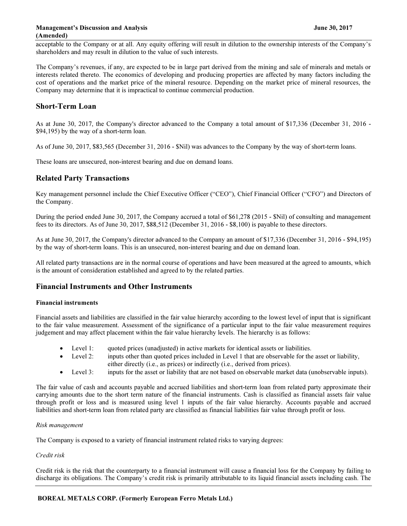acceptable to the Company or at all. Any equity offering will result in dilution to the ownership interests of the Company's shareholders and may result in dilution to the value of such interests.

The Company's revenues, if any, are expected to be in large part derived from the mining and sale of minerals and metals or interests related thereto. The economics of developing and producing properties are affected by many factors including the cost of operations and the market price of the mineral resource. Depending on the market price of mineral resources, the Company may determine that it is impractical to continue commercial production.

# Short-Term Loan

As at June 30, 2017, the Company's director advanced to the Company a total amount of \$17,336 (December 31, 2016 - \$94,195) by the way of a short-term loan.

As of June 30, 2017, \$83,565 (December 31, 2016 - \$Nil) was advances to the Company by the way of short-term loans.

These loans are unsecured, non-interest bearing and due on demand loans.

# Related Party Transactions

Key management personnel include the Chief Executive Officer ("CEO"), Chief Financial Officer ("CFO") and Directors of the Company.

During the period ended June 30, 2017, the Company accrued a total of \$61,278 (2015 - \$Nil) of consulting and management fees to its directors. As of June 30, 2017, \$88,512 (December 31, 2016 - \$8,100) is payable to these directors.

As at June 30, 2017, the Company's director advanced to the Company an amount of \$17,336 (December 31, 2016 - \$94,195) by the way of short-term loans. This is an unsecured, non-interest bearing and due on demand loan.

All related party transactions are in the normal course of operations and have been measured at the agreed to amounts, which is the amount of consideration established and agreed to by the related parties.

# Financial Instruments and Other Instruments

#### Financial instruments

Financial assets and liabilities are classified in the fair value hierarchy according to the lowest level of input that is significant to the fair value measurement. Assessment of the significance of a particular input to the fair value measurement requires judgement and may affect placement within the fair value hierarchy levels. The hierarchy is as follows:

- Level 1: quoted prices (unadjusted) in active markets for identical assets or liabilities.
- Level 2: inputs other than quoted prices included in Level 1 that are observable for the asset or liability, either directly (i.e., as prices) or indirectly (i.e., derived from prices).
- Level 3: inputs for the asset or liability that are not based on observable market data (unobservable inputs).

The fair value of cash and accounts payable and accrued liabilities and short-term loan from related party approximate their carrying amounts due to the short term nature of the financial instruments. Cash is classified as financial assets fair value through profit or loss and is measured using level 1 inputs of the fair value hierarchy. Accounts payable and accrued liabilities and short-term loan from related party are classified as financial liabilities fair value through profit or loss.

#### Risk management

The Company is exposed to a variety of financial instrument related risks to varying degrees:

#### Credit risk

Credit risk is the risk that the counterparty to a financial instrument will cause a financial loss for the Company by failing to discharge its obligations. The Company's credit risk is primarily attributable to its liquid financial assets including cash. The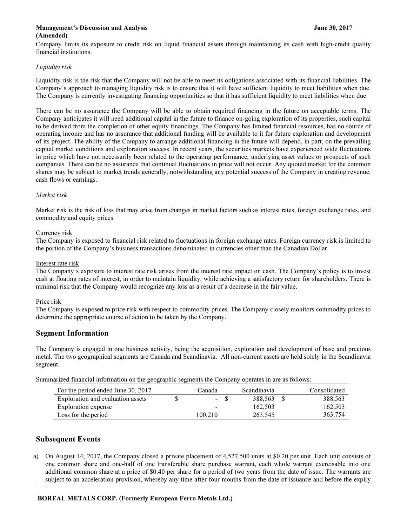#### Management's Discussion and Analysis June 30, 2017 (Amended)

Company limits its exposure to credit risk on liquid financial assets through maintaining its cash with high-credit quality financial institutions.

#### Liquidity risk

Liquidity risk is the risk that the Company will not be able to meet its obligations associated with its financial liabilities. The Company's approach to managing liquidity risk is to ensure that it will have sufficient liquidity to meet liabilities when due. The Company is currently investigating financing opportunities so that it has sufficient liquidity to meet liabilities when due.

There can be no assurance the Company will be able to obtain required financing in the future on acceptable terms. The Company anticipates it will need additional capital in the future to finance on-going exploration of its properties, such capital to be derived from the completion of other equity financings. The Company has limited financial resources, has no source of operating income and has no assurance that additional funding will be available to it for future exploration and development of its project. The ability of the Company to arrange additional financing in the future will depend, in part, on the prevailing capital market conditions and exploration success. In recent years, the securities markets have experienced wide fluctuations in price which have not necessarily been related to the operating performance, underlying asset values or prospects of such companies. There can be no assurance that continual fluctuations in price will not occur. Any quoted market for the common shares may be subject to market trends generally, notwithstanding any potential success of the Company in creating revenue, cash flows or earnings.

#### Market risk

Market risk is the risk of loss that may arise from changes in market factors such as interest rates, foreign exchange rates, and commodity and equity prices.

#### Currency risk

The Company is exposed to financial risk related to fluctuations in foreign exchange rates. Foreign currency risk is limited to the portion of the Company's business transactions denominated in currencies other than the Canadian Dollar.

#### Interest rate risk

The Company's exposure to interest rate risk arises from the interest rate impact on cash. The Company's policy is to invest cash at floating rates of interest, in order to maintain liquidity, while achieving a satisfactory return for shareholders. There is minimal risk that the Company would recognize any loss as a result of a decrease in the fair value.

#### Price risk

The Company is exposed to price risk with respect to commodity prices. The Company closely monitors commodity prices to determine the appropriate course of action to be taken by the Company.

#### Segment Information

The Company is engaged in one business activity, being the acquisition, exploration and development of base and precious metal. The two geographical segments are Canada and Scandinavia. All non-current assets are held solely in the Scandinavia segment.

Summarized financial information on the geographic segments the Company operates in are as follows:

| For the period ended June 30, 2017 | Canada  | Scandinavia | Consolidated |
|------------------------------------|---------|-------------|--------------|
| Exploration and evaluation assets  | $-$ S   | 388.563 \$  | 388,563      |
| Exploration expense                | -       | 162.503     | 162,503      |
| Loss for the period                | 100.210 | 263.545     | 363.754      |

## Subsequent Events

a) On August 14, 2017, the Company closed a private placement of 4,527,500 units at \$0.20 per unit. Each unit consists of one common share and one-half of one transferable share purchase warrant, each whole warrant exercisable into one additional common share at a price of \$0.40 per share for a period of two years from the date of issue. The warrants are subject to an acceleration provision, whereby any time after four months from the date of issuance and before the expiry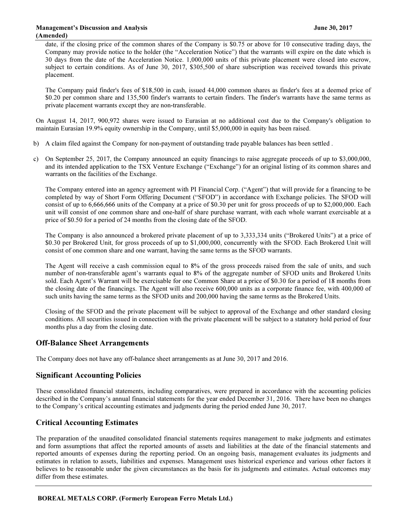date, if the closing price of the common shares of the Company is \$0.75 or above for 10 consecutive trading days, the Company may provide notice to the holder (the "Acceleration Notice") that the warrants will expire on the date which is 30 days from the date of the Acceleration Notice. 1,000,000 units of this private placement were closed into escrow, subject to certain conditions. As of June 30, 2017, \$305,500 of share subscription was received towards this private placement.

The Company paid finder's fees of \$18,500 in cash, issued 44,000 common shares as finder's fees at a deemed price of \$0.20 per common share and 135,500 finder's warrants to certain finders. The finder's warrants have the same terms as private placement warrants except they are non-transferable.

On August 14, 2017, 900,972 shares were issued to Eurasian at no additional cost due to the Company's obligation to maintain Eurasian 19.9% equity ownership in the Company, until \$5,000,000 in equity has been raised.

- b) A claim filed against the Company for non-payment of outstanding trade payable balances has been settled .
- c) On September 25, 2017, the Company announced an equity financings to raise aggregate proceeds of up to \$3,000,000, and its intended application to the TSX Venture Exchange ("Exchange") for an original listing of its common shares and warrants on the facilities of the Exchange.

The Company entered into an agency agreement with PI Financial Corp. ("Agent") that will provide for a financing to be completed by way of Short Form Offering Document ("SFOD") in accordance with Exchange policies. The SFOD will consist of up to 6,666,666 units of the Company at a price of \$0.30 per unit for gross proceeds of up to \$2,000,000. Each unit will consist of one common share and one-half of share purchase warrant, with each whole warrant exercisable at a price of \$0.50 for a period of 24 months from the closing date of the SFOD.

The Company is also announced a brokered private placement of up to 3,333,334 units ("Brokered Units") at a price of \$0.30 per Brokered Unit, for gross proceeds of up to \$1,000,000, concurrently with the SFOD. Each Brokered Unit will consist of one common share and one warrant, having the same terms as the SFOD warrants.

The Agent will receive a cash commission equal to 8% of the gross proceeds raised from the sale of units, and such number of non-transferable agent's warrants equal to 8% of the aggregate number of SFOD units and Brokered Units sold. Each Agent's Warrant will be exercisable for one Common Share at a price of \$0.30 for a period of 18 months from the closing date of the financings. The Agent will also receive 600,000 units as a corporate finance fee, with 400,000 of such units having the same terms as the SFOD units and 200,000 having the same terms as the Brokered Units.

Closing of the SFOD and the private placement will be subject to approval of the Exchange and other standard closing conditions. All securities issued in connection with the private placement will be subject to a statutory hold period of four months plus a day from the closing date.

# Off-Balance Sheet Arrangements

The Company does not have any off-balance sheet arrangements as at June 30, 2017 and 2016.

#### Significant Accounting Policies

These consolidated financial statements, including comparatives, were prepared in accordance with the accounting policies described in the Company's annual financial statements for the year ended December 31, 2016. There have been no changes to the Company's critical accounting estimates and judgments during the period ended June 30, 2017.

# Critical Accounting Estimates

The preparation of the unaudited consolidated financial statements requires management to make judgments and estimates and form assumptions that affect the reported amounts of assets and liabilities at the date of the financial statements and reported amounts of expenses during the reporting period. On an ongoing basis, management evaluates its judgments and estimates in relation to assets, liabilities and expenses. Management uses historical experience and various other factors it believes to be reasonable under the given circumstances as the basis for its judgments and estimates. Actual outcomes may differ from these estimates.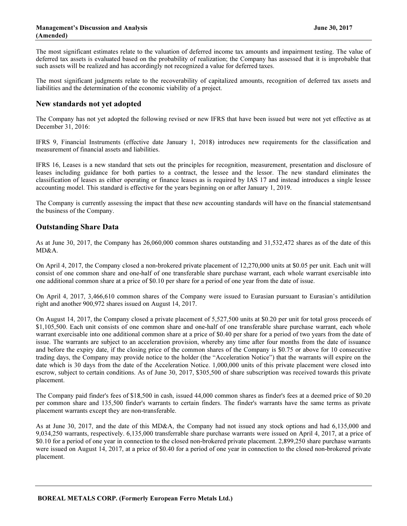The most significant estimates relate to the valuation of deferred income tax amounts and impairment testing. The value of deferred tax assets is evaluated based on the probability of realization; the Company has assessed that it is improbable that such assets will be realized and has accordingly not recognized a value for deferred taxes.

The most significant judgments relate to the recoverability of capitalized amounts, recognition of deferred tax assets and liabilities and the determination of the economic viability of a project.

## New standards not yet adopted

The Company has not yet adopted the following revised or new IFRS that have been issued but were not yet effective as at December 31, 2016:

IFRS 9, Financial Instruments (effective date January 1, 2018) introduces new requirements for the classification and measurement of financial assets and liabilities.

IFRS 16, Leases is a new standard that sets out the principles for recognition, measurement, presentation and disclosure of leases including guidance for both parties to a contract, the lessee and the lessor. The new standard eliminates the classification of leases as either operating or finance leases as is required by IAS 17 and instead introduces a single lessee accounting model. This standard is effective for the years beginning on or after January 1, 2019.

The Company is currently assessing the impact that these new accounting standards will have on the financial statementsand the business of the Company.

## Outstanding Share Data

As at June 30, 2017, the Company has 26,060,000 common shares outstanding and 31,532,472 shares as of the date of this MD&A.

On April 4, 2017, the Company closed a non-brokered private placement of 12,270,000 units at \$0.05 per unit. Each unit will consist of one common share and one-half of one transferable share purchase warrant, each whole warrant exercisable into one additional common share at a price of \$0.10 per share for a period of one year from the date of issue.

On April 4, 2017, 3,466,610 common shares of the Company were issued to Eurasian pursuant to Eurasian's antidilution right and another 900,972 shares issued on August 14, 2017.

On August 14, 2017, the Company closed a private placement of 5,527,500 units at \$0.20 per unit for total gross proceeds of \$1,105,500. Each unit consists of one common share and one-half of one transferable share purchase warrant, each whole warrant exercisable into one additional common share at a price of \$0.40 per share for a period of two years from the date of issue. The warrants are subject to an acceleration provision, whereby any time after four months from the date of issuance and before the expiry date, if the closing price of the common shares of the Company is \$0.75 or above for 10 consecutive trading days, the Company may provide notice to the holder (the "Acceleration Notice") that the warrants will expire on the date which is 30 days from the date of the Acceleration Notice. 1,000,000 units of this private placement were closed into escrow, subject to certain conditions. As of June 30, 2017, \$305,500 of share subscription was received towards this private placement.

The Company paid finder's fees of \$18,500 in cash, issued 44,000 common shares as finder's fees at a deemed price of \$0.20 per common share and 135,500 finder's warrants to certain finders. The finder's warrants have the same terms as private placement warrants except they are non-transferable.

As at June 30, 2017, and the date of this MD&A, the Company had not issued any stock options and had 6,135,000 and 9,034,250 warrants, respectively. 6,135,000 transferrable share purchase warrants were issued on April 4, 2017, at a price of \$0.10 for a period of one year in connection to the closed non-brokered private placement. 2,899,250 share purchase warrants were issued on August 14, 2017, at a price of \$0.40 for a period of one year in connection to the closed non-brokered private placement.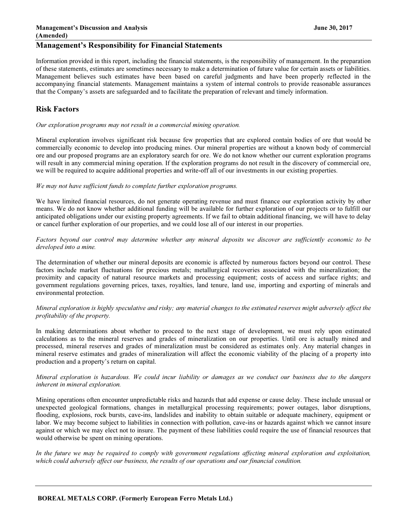# Management's Responsibility for Financial Statements

Information provided in this report, including the financial statements, is the responsibility of management. In the preparation of these statements, estimates are sometimes necessary to make a determination of future value for certain assets or liabilities. Management believes such estimates have been based on careful judgments and have been properly reflected in the accompanying financial statements. Management maintains a system of internal controls to provide reasonable assurances that the Company's assets are safeguarded and to facilitate the preparation of relevant and timely information.

# Risk Factors

Our exploration programs may not result in a commercial mining operation.

Mineral exploration involves significant risk because few properties that are explored contain bodies of ore that would be commercially economic to develop into producing mines. Our mineral properties are without a known body of commercial ore and our proposed programs are an exploratory search for ore. We do not know whether our current exploration programs will result in any commercial mining operation. If the exploration programs do not result in the discovery of commercial ore, we will be required to acquire additional properties and write-off all of our investments in our existing properties.

#### We may not have sufficient funds to complete further exploration programs.

We have limited financial resources, do not generate operating revenue and must finance our exploration activity by other means. We do not know whether additional funding will be available for further exploration of our projects or to fulfill our anticipated obligations under our existing property agreements. If we fail to obtain additional financing, we will have to delay or cancel further exploration of our properties, and we could lose all of our interest in our properties.

Factors beyond our control may determine whether any mineral deposits we discover are sufficiently economic to be developed into a mine.

The determination of whether our mineral deposits are economic is affected by numerous factors beyond our control. These factors include market fluctuations for precious metals; metallurgical recoveries associated with the mineralization; the proximity and capacity of natural resource markets and processing equipment; costs of access and surface rights; and government regulations governing prices, taxes, royalties, land tenure, land use, importing and exporting of minerals and environmental protection.

#### Mineral exploration is highly speculative and risky; any material changes to the estimated reserves might adversely affect the profitability of the property.

In making determinations about whether to proceed to the next stage of development, we must rely upon estimated calculations as to the mineral reserves and grades of mineralization on our properties. Until ore is actually mined and processed, mineral reserves and grades of mineralization must be considered as estimates only. Any material changes in mineral reserve estimates and grades of mineralization will affect the economic viability of the placing of a property into production and a property's return on capital.

#### Mineral exploration is hazardous. We could incur liability or damages as we conduct our business due to the dangers inherent in mineral exploration.

Mining operations often encounter unpredictable risks and hazards that add expense or cause delay. These include unusual or unexpected geological formations, changes in metallurgical processing requirements; power outages, labor disruptions, flooding, explosions, rock bursts, cave-ins, landslides and inability to obtain suitable or adequate machinery, equipment or labor. We may become subject to liabilities in connection with pollution, cave-ins or hazards against which we cannot insure against or which we may elect not to insure. The payment of these liabilities could require the use of financial resources that would otherwise be spent on mining operations.

In the future we may be required to comply with government regulations affecting mineral exploration and exploitation, which could adversely affect our business, the results of our operations and our financial condition.